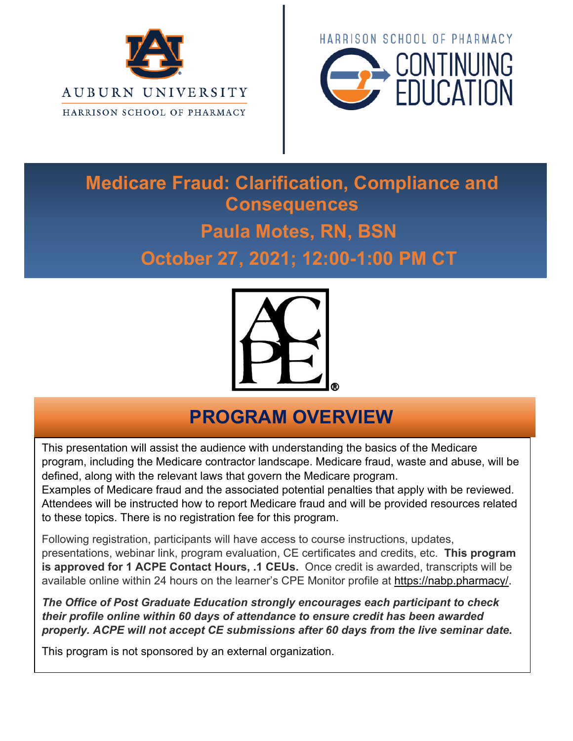



# **Medicare Fraud: Clarification, Compliance and Consequences Paula Motes, RN, BSN October 27, 2021; 12:00-1:00 PM CT**



#### **PROGRAM OVERVIEW**

This presentation will assist the audience with understanding the basics of the Medicare program, including the Medicare contractor landscape. Medicare fraud, waste and abuse, will be defined, along with the relevant laws that govern the Medicare program.

Examples of Medicare fraud and the associated potential penalties that apply with be reviewed. Attendees will be instructed how to report Medicare fraud and will be provided resources related to these topics. There is no registration fee for this program.

Following registration, participants will have access to course instructions, updates, presentations, webinar link, program evaluation, CE certificates and credits, etc. **This program is approved for 1 ACPE Contact Hours, .1 CEUs.** Once credit is awarded, transcripts will be available online within 24 hours on the learner's CPE Monitor profile at https://nabp.pharmacy/.

*The Office of Post Graduate Education strongly encourages each participant to check their profile online within 60 days of attendance to ensure credit has been awarded properly. ACPE will not accept CE submissions after 60 days from the live seminar date.*

This program is not sponsored by an external organization.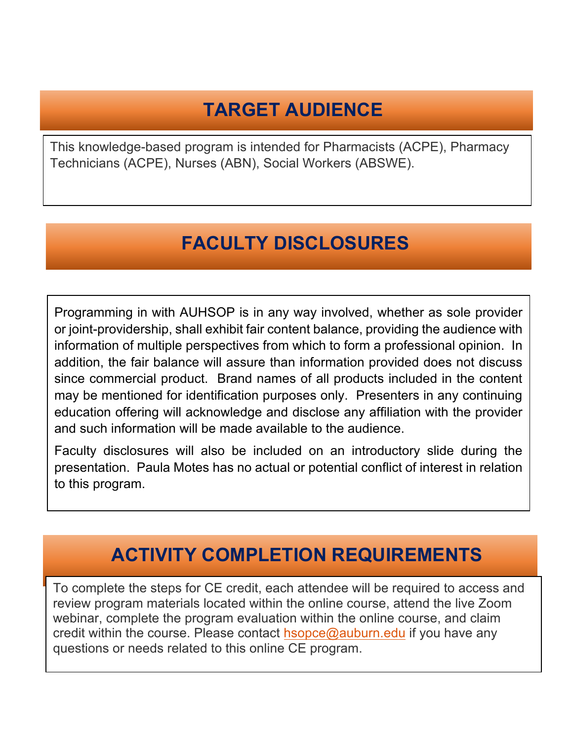### **TARGET AUDIENCE**

This knowledge-based program is intended for Pharmacists (ACPE), Pharmacy Technicians (ACPE), Nurses (ABN), Social Workers (ABSWE).

### **FACULTY DISCLOSURES**

Programming in with AUHSOP is in any way involved, whether as sole provider or joint-providership, shall exhibit fair content balance, providing the audience with information of multiple perspectives from which to form a professional opinion. In addition, the fair balance will assure than information provided does not discuss since commercial product. Brand names of all products included in the content may be mentioned for identification purposes only. Presenters in any continuing education offering will acknowledge and disclose any affiliation with the provider and such information will be made available to the audience.

Faculty disclosures will also be included on an introductory slide during the presentation. Paula Motes has no actual or potential conflict of interest in relation to this program.

#### **ACTIVITY COMPLETION REQUIREMENTS**

To complete the steps for CE credit, each attendee will be required to access and review program materials located within the online course, attend the live Zoom webinar, complete the program evaluation within the online course, and claim credit within the course. Please contact  $h$ sopce@auburn.edu if you have any questions or needs related to this online CE program.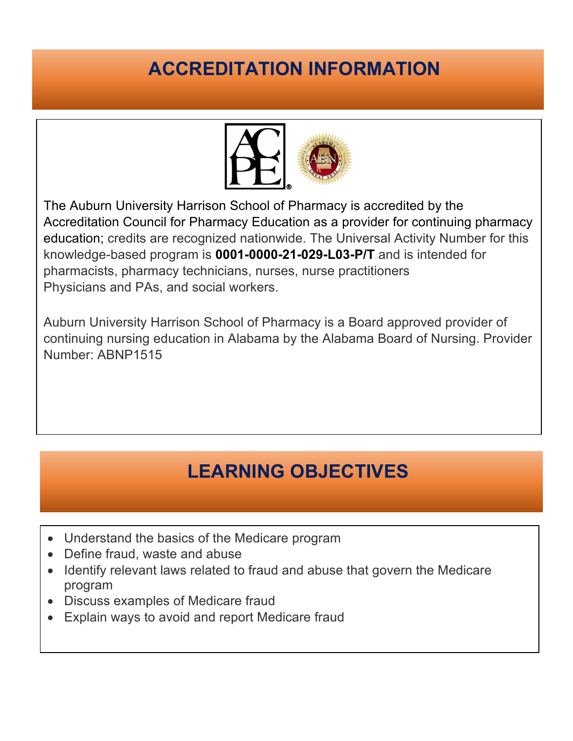## **ACCREDITATION INFORMATION**



The Auburn University Harrison School of Pharmacy is accredited by the Accreditation Council for Pharmacy Education as a provider for continuing pharmacy education; credits are recognized nationwide. The Universal Activity Number for this knowledge-based program is **0001-0000-21-029-L03-P/T** and is intended for pharmacists, pharmacy technicians, nurses, nurse practitioners Physicians and PAs, and social workers.

Auburn University Harrison School of Pharmacy is a Board approved provider of continuing nursing education in Alabama by the Alabama Board of Nursing. Provider Number: ABNP1515

# **LEARNING OBJECTIVES**

- Understand the basics of the Medicare program
- Define fraud, waste and abuse
- Identify relevant laws related to fraud and abuse that govern the Medicare program
- Discuss examples of Medicare fraud
- Explain ways to avoid and report Medicare fraud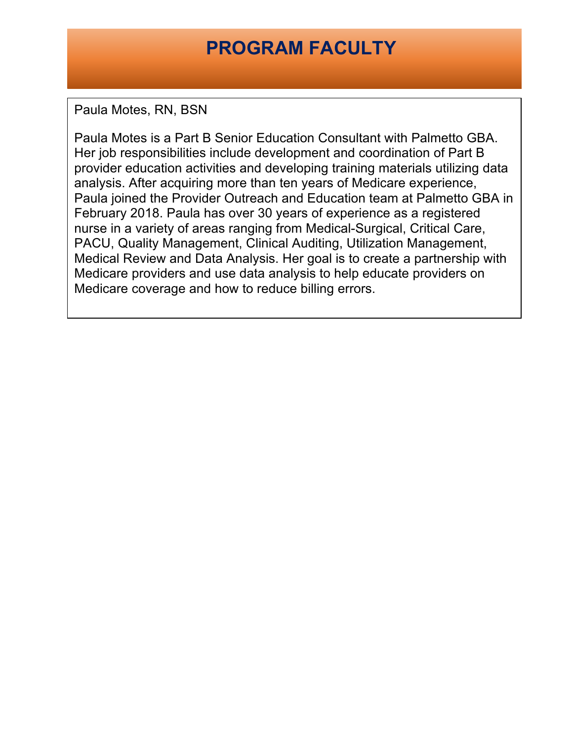#### **PROGRAM FACULTY**

Paula Motes, RN, BSN

Paula Motes is a Part B Senior Education Consultant with Palmetto GBA. Her job responsibilities include development and coordination of Part B provider education activities and developing training materials utilizing data analysis. After acquiring more than ten years of Medicare experience, Paula joined the Provider Outreach and Education team at Palmetto GBA in February 2018. Paula has over 30 years of experience as a registered nurse in a variety of areas ranging from Medical-Surgical, Critical Care, PACU, Quality Management, Clinical Auditing, Utilization Management, Medical Review and Data Analysis. Her goal is to create a partnership with Medicare providers and use data analysis to help educate providers on Medicare coverage and how to reduce billing errors.